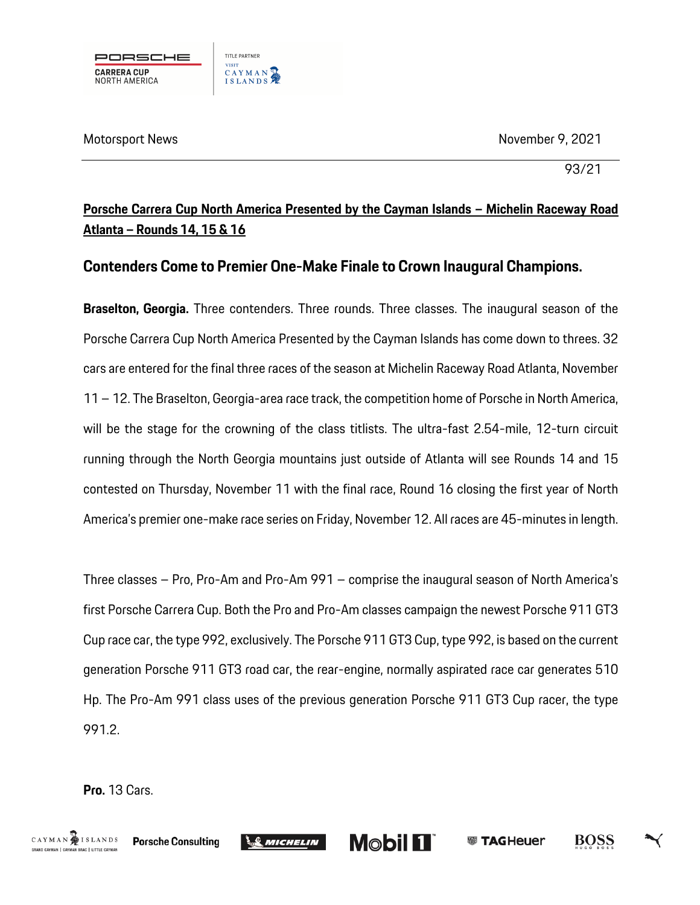

93/21

## **Porsche Carrera Cup North America Presented by the Cayman Islands – Michelin Raceway Road Atlanta – Rounds 14, 15 & 16**

### **Contenders Come to Premier One-Make Finale to Crown Inaugural Champions.**

**Braselton, Georgia.** Three contenders. Three rounds. Three classes. The inaugural season of the Porsche Carrera Cup North America Presented by the Cayman Islands has come down to threes. 32 cars are entered for the final three races of the season at Michelin Raceway Road Atlanta, November 11 – 12. The Braselton, Georgia-area race track, the competition home of Porsche in North America, will be the stage for the crowning of the class titlists. The ultra-fast 2.54-mile, 12-turn circuit running through the North Georgia mountains just outside of Atlanta will see Rounds 14 and 15 contested on Thursday, November 11 with the final race, Round 16 closing the first year of North America's premier one-make race series on Friday, November 12. All races are 45-minutes in length.

Three classes – Pro, Pro-Am and Pro-Am 991 – comprise the inaugural season of North America's first Porsche Carrera Cup. Both the Pro and Pro-Am classes campaign the newest Porsche 911 GT3 Cup race car, the type 992, exclusively. The Porsche 911 GT3 Cup, type 992, is based on the current generation Porsche 911 GT3 road car, the rear-engine, normally aspirated race car generates 510 Hp. The Pro-Am 991 class uses of the previous generation Porsche 911 GT3 Cup racer, the type 991.2.

**Mobil 11** 

**WE TAGHeuer** 

BOSS

**Pro.** 13 Cars.

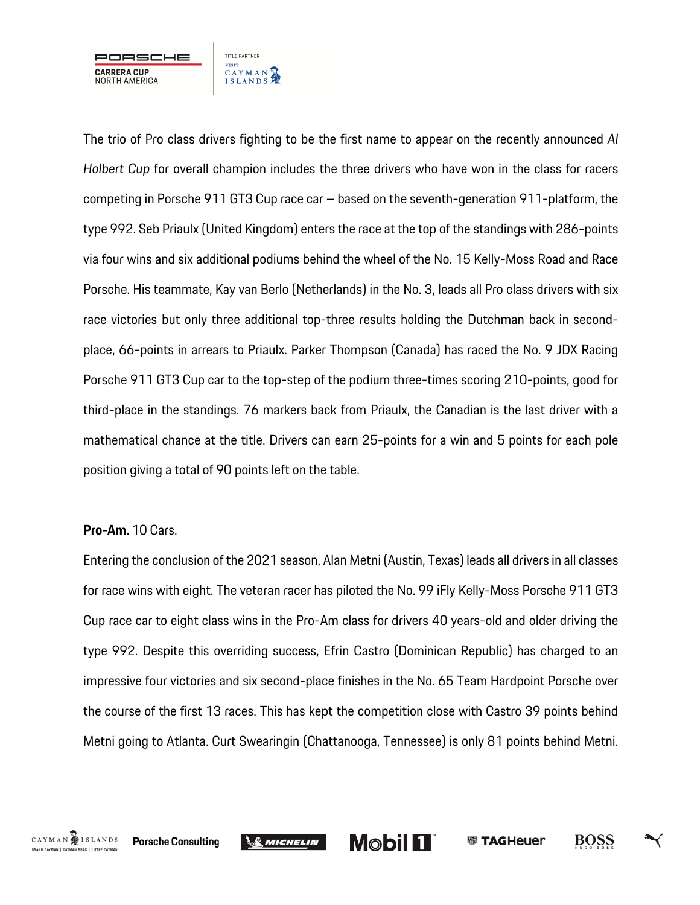

The trio of Pro class drivers fighting to be the first name to appear on the recently announced *Al Holbert Cup* for overall champion includes the three drivers who have won in the class for racers competing in Porsche 911 GT3 Cup race car – based on the seventh-generation 911-platform, the type 992. Seb Priaulx (United Kingdom) enters the race at the top of the standings with 286-points via four wins and six additional podiums behind the wheel of the No. 15 Kelly-Moss Road and Race Porsche. His teammate, Kay van Berlo (Netherlands) in the No. 3, leads all Pro class drivers with six race victories but only three additional top-three results holding the Dutchman back in secondplace, 66-points in arrears to Priaulx. Parker Thompson (Canada) has raced the No. 9 JDX Racing Porsche 911 GT3 Cup car to the top-step of the podium three-times scoring 210-points, good for third-place in the standings. 76 markers back from Priaulx, the Canadian is the last driver with a mathematical chance at the title. Drivers can earn 25-points for a win and 5 points for each pole position giving a total of 90 points left on the table.

#### **Pro-Am.** 10 Cars.

Entering the conclusion of the 2021 season, Alan Metni (Austin, Texas) leads all drivers in all classes for race wins with eight. The veteran racer has piloted the No. 99 iFly Kelly-Moss Porsche 911 GT3 Cup race car to eight class wins in the Pro-Am class for drivers 40 years-old and older driving the type 992. Despite this overriding success, Efrin Castro (Dominican Republic) has charged to an impressive four victories and six second-place finishes in the No. 65 Team Hardpoint Porsche over the course of the first 13 races. This has kept the competition close with Castro 39 points behind Metni going to Atlanta. Curt Swearingin (Chattanooga, Tennessee) is only 81 points behind Metni.







BOSS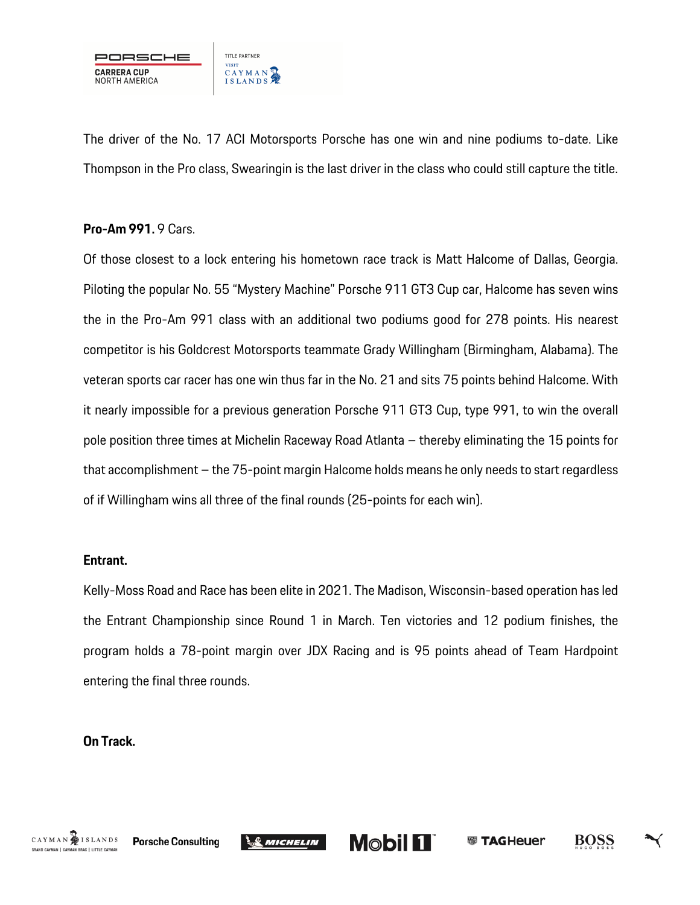

The driver of the No. 17 ACI Motorsports Porsche has one win and nine podiums to-date. Like Thompson in the Pro class, Swearingin is the last driver in the class who could still capture the title.

#### **Pro-Am 991.** 9 Cars.

Of those closest to a lock entering his hometown race track is Matt Halcome of Dallas, Georgia. Piloting the popular No. 55 "Mystery Machine" Porsche 911 GT3 Cup car, Halcome has seven wins the in the Pro-Am 991 class with an additional two podiums good for 278 points. His nearest competitor is his Goldcrest Motorsports teammate Grady Willingham (Birmingham, Alabama). The veteran sports car racer has one win thus far in the No. 21 and sits 75 points behind Halcome. With it nearly impossible for a previous generation Porsche 911 GT3 Cup, type 991, to win the overall pole position three times at Michelin Raceway Road Atlanta – thereby eliminating the 15 points for that accomplishment – the 75-point margin Halcome holds means he only needs to start regardless of if Willingham wins all three of the final rounds (25-points for each win).

#### **Entrant.**

Kelly-Moss Road and Race has been elite in 2021. The Madison, Wisconsin-based operation has led the Entrant Championship since Round 1 in March. Ten victories and 12 podium finishes, the program holds a 78-point margin over JDX Racing and is 95 points ahead of Team Hardpoint entering the final three rounds.

**Mobil 11** 

**@ TAGHeuer** 

BOSS

#### **On Track.**

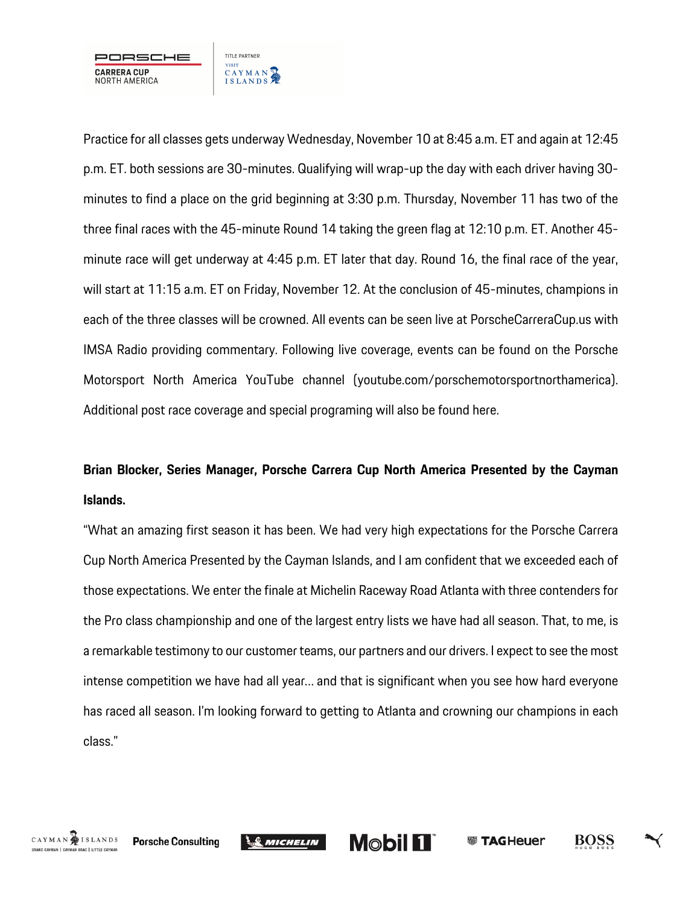

Practice for all classes gets underway Wednesday, November 10 at 8:45 a.m. ET and again at 12:45 p.m. ET. both sessions are 30-minutes. Qualifying will wrap-up the day with each driver having 30 minutes to find a place on the grid beginning at 3:30 p.m. Thursday, November 11 has two of the three final races with the 45-minute Round 14 taking the green flag at 12:10 p.m. ET. Another 45 minute race will get underway at 4:45 p.m. ET later that day. Round 16, the final race of the year, will start at 11:15 a.m. ET on Friday, November 12. At the conclusion of 45-minutes, champions in each of the three classes will be crowned. All events can be seen live at PorscheCarreraCup.us with IMSA Radio providing commentary. Following live coverage, events can be found on the Porsche Motorsport North America YouTube channel (youtube.com/porschemotorsportnorthamerica). Additional post race coverage and special programing will also be found here.

# **Brian Blocker, Series Manager, Porsche Carrera Cup North America Presented by the Cayman Islands.**

"What an amazing first season it has been. We had very high expectations for the Porsche Carrera Cup North America Presented by the Cayman Islands, and I am confident that we exceeded each of those expectations. We enter the finale at Michelin Raceway Road Atlanta with three contenders for the Pro class championship and one of the largest entry lists we have had all season. That, to me, is a remarkable testimony to our customer teams, our partners and our drivers. I expect to see the most intense competition we have had all year… and that is significant when you see how hard everyone has raced all season. I'm looking forward to getting to Atlanta and crowning our champions in each class."



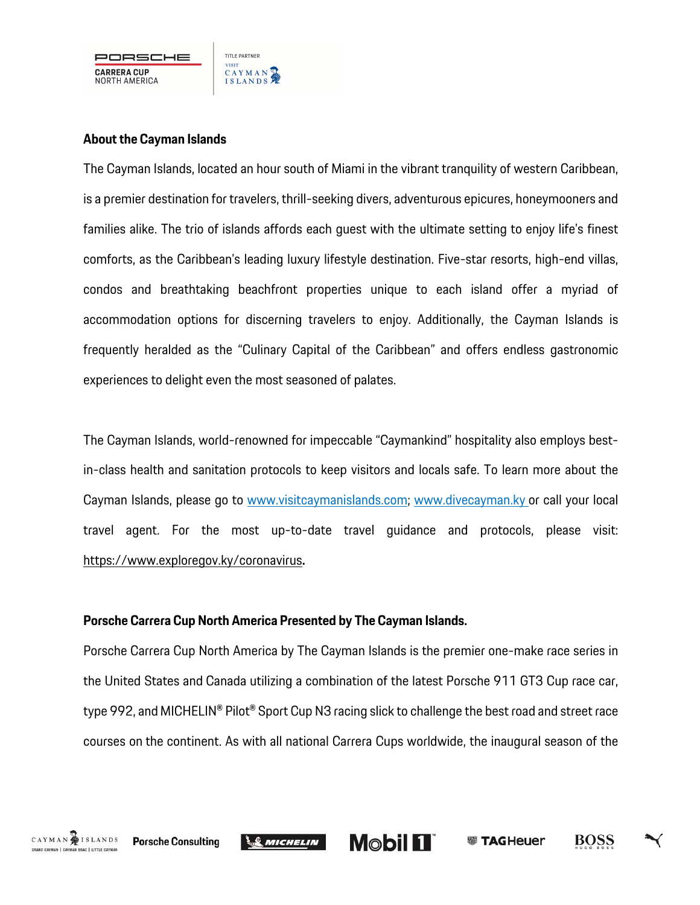

#### **About the Cayman Islands**

The Cayman Islands, located an hour south of Miami in the vibrant tranquility of western Caribbean, is a premier destination for travelers, thrill-seeking divers, adventurous epicures, honeymooners and families alike. The trio of islands affords each guest with the ultimate setting to enjoy life's finest comforts, as the Caribbean's leading luxury lifestyle destination. Five-star resorts, high-end villas, condos and breathtaking beachfront properties unique to each island offer a myriad of accommodation options for discerning travelers to enjoy. Additionally, the Cayman Islands is frequently heralded as the "Culinary Capital of the Caribbean" and offers endless gastronomic experiences to delight even the most seasoned of palates.

The Cayman Islands, world-renowned for impeccable "Caymankind" hospitality also employs bestin-class health and sanitation protocols to keep visitors and locals safe. To learn more about the Cayman Islands, please go to www.visitcaymanislands.com; www.divecayman.ky or call your local travel agent. For the most up-to-date travel guidance and protocols, please visit: https://www.exploregov.ky/coronavirus**.**

#### **Porsche Carrera Cup North America Presented by The Cayman Islands.**

Porsche Carrera Cup North America by The Cayman Islands is the premier one-make race series in the United States and Canada utilizing a combination of the latest Porsche 911 GT3 Cup race car, type 992, and MICHELIN® Pilot® Sport Cup N3 racing slick to challenge the best road and street race courses on the continent. As with all national Carrera Cups worldwide, the inaugural season of the



**Mobil 11** 



BOSS